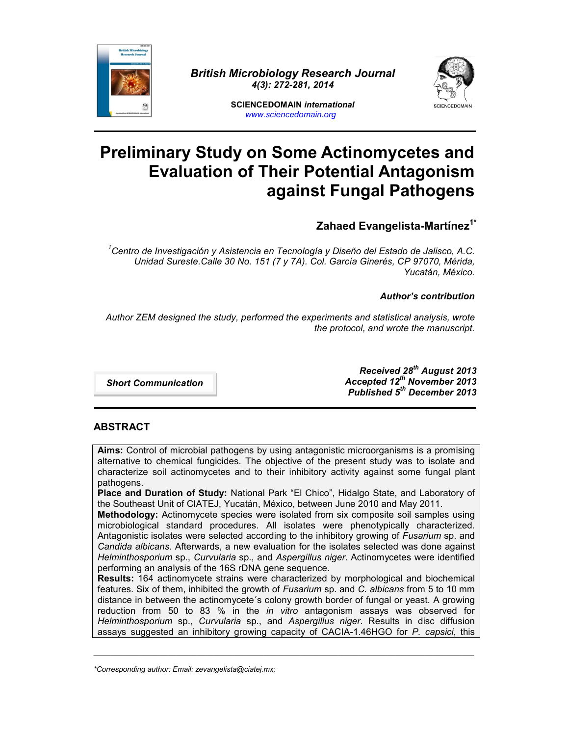

*British Microbiology Research Journal 4(3): 272-281, 2014*



**SCIENCEDOMAIN** *international www.sciencedomain.org*

# **Preliminary Study on Some Actinomycetes and Evaluation of Their Potential Antagonism against Fungal Pathogens**

**Zahaed Evangelista-Martínez1\***

*<sup>1</sup>Centro de Investigación y Asistencia en Tecnología y Diseño del Estado de Jalisco, A.C. Unidad Sureste.Calle 30 No. 151 (7 y 7A). Col. García Ginerés, CP 97070, Mérida, Yucatán, México.*

*Author's contribution*

*Author ZEM designed the study, performed the experiments and statistical analysis, wrote the protocol, and wrote the manuscript.*

*Short Communication*

*Received 28th August 2013 Accepted 12th November 2013 Published 5 th December 2013*

# **ABSTRACT**

**Aims:** Control of microbial pathogens by using antagonistic microorganisms is a promising alternative to chemical fungicides. The objective of the present study was to isolate and characterize soil actinomycetes and to their inhibitory activity against some fungal plant pathogens.

**Place and Duration of Study:** National Park "El Chico", Hidalgo State, and Laboratory of the Southeast Unit of CIATEJ, Yucatán, México, between June 2010 and May 2011.

**Methodology:** Actinomycete species were isolated from six composite soil samples using microbiological standard procedures. All isolates were phenotypically characterized. Antagonistic isolates were selected according to the inhibitory growing of *Fusarium* sp. and *Candida albicans*. Afterwards, a new evaluation for the isolates selected was done against *Helminthosporium* sp., *Curvularia* sp., and *Aspergillus niger*. Actinomycetes were identified performing an analysis of the 16S rDNA gene sequence.

**Results:** 164 actinomycete strains were characterized by morphological and biochemical features. Six of them, inhibited the growth of *Fusarium* sp. and *C. albicans* from 5 to 10 mm distance in between the actinomycete´s colony growth border of fungal or yeast. A growing reduction from 50 to 83 % in the *in vitro* antagonism assays was observed for *Helminthosporium* sp., *Curvularia* sp., and *Aspergillus niger*. Results in disc diffusion assays suggested an inhibitory growing capacity of CACIA-1.46HGO for *P. capsici*, this

\_\_\_\_\_\_\_\_\_\_\_\_\_\_\_\_\_\_\_\_\_\_\_\_\_\_\_\_\_\_\_\_\_\_\_\_\_\_\_\_\_\_\_\_\_\_\_\_\_\_\_\_\_\_\_\_\_\_\_\_\_\_\_\_\_\_\_\_\_\_\_\_\_\_\_\_\_\_\_\_\_\_\_\_\_\_\_\_\_\_\_\_

*<sup>\*</sup>Corresponding author: Email: zevangelista@ciatej.mx;*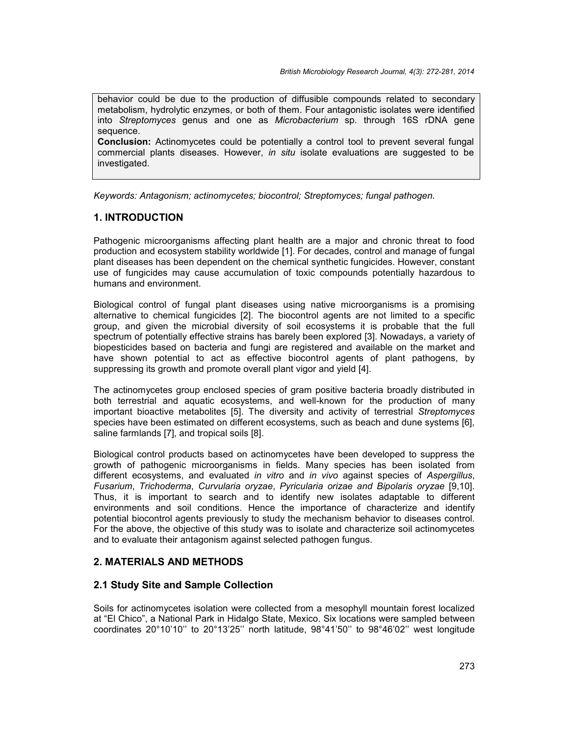behavior could be due to the production of diffusible compounds related to secondary metabolism, hydrolytic enzymes, or both of them. Four antagonistic isolates were identified into *Streptomyces* genus and one as *Microbacterium* sp. through 16S rDNA gene sequence.

**Conclusion:** Actinomycetes could be potentially a control tool to prevent several fungal commercial plants diseases. However, *in situ* isolate evaluations are suggested to be investigated.

*Keywords: Antagonism; actinomycetes; biocontrol; Streptomyces; fungal pathogen.*

## **1. INTRODUCTION**

Pathogenic microorganisms affecting plant health are a major and chronic threat to food production and ecosystem stability worldwide [1]. For decades, control and manage of fungal plant diseases has been dependent on the chemical synthetic fungicides. However, constant use of fungicides may cause accumulation of toxic compounds potentially hazardous to humans and environment.

Biological control of fungal plant diseases using native microorganisms is a promising alternative to chemical fungicides [2]. The biocontrol agents are not limited to a specific group, and given the microbial diversity of soil ecosystems it is probable that the full spectrum of potentially effective strains has barely been explored [3]. Nowadays, a variety of biopesticides based on bacteria and fungi are registered and available on the market and have shown potential to act as effective biocontrol agents of plant pathogens, by suppressing its growth and promote overall plant vigor and yield [4].

The actinomycetes group enclosed species of gram positive bacteria broadly distributed in both terrestrial and aquatic ecosystems, and well-known for the production of many important bioactive metabolites [5]. The diversity and activity of terrestrial *Streptomyces* species have been estimated on different ecosystems, such as beach and dune systems [6], saline farmlands [7], and tropical soils [8].

Biological control products based on actinomycetes have been developed to suppress the growth of pathogenic microorganisms in fields. Many species has been isolated from different ecosystems, and evaluated *in vitro* and *in vivo* against species of *Aspergillus*, *Fusarium*, *Trichoderma*, *Curvularia oryzae*, *Pyricularia orizae and Bipolaris oryzae* [9,10]. Thus, it is important to search and to identify new isolates adaptable to different environments and soil conditions. Hence the importance of characterize and identify potential biocontrol agents previously to study the mechanism behavior to diseases control. For the above, the objective of this study was to isolate and characterize soil actinomycetes and to evaluate their antagonism against selected pathogen fungus.

## **2. MATERIALS AND METHODS**

## **2.1 Study Site and Sample Collection**

Soils for actinomycetes isolation were collected from a mesophyll mountain forest localized at "El Chico", a National Park in Hidalgo State, Mexico. Six locations were sampled between coordinates 20°10'10'' to 20°13'25'' north latitude, 98°41'50'' to 98°46'02'' west longitude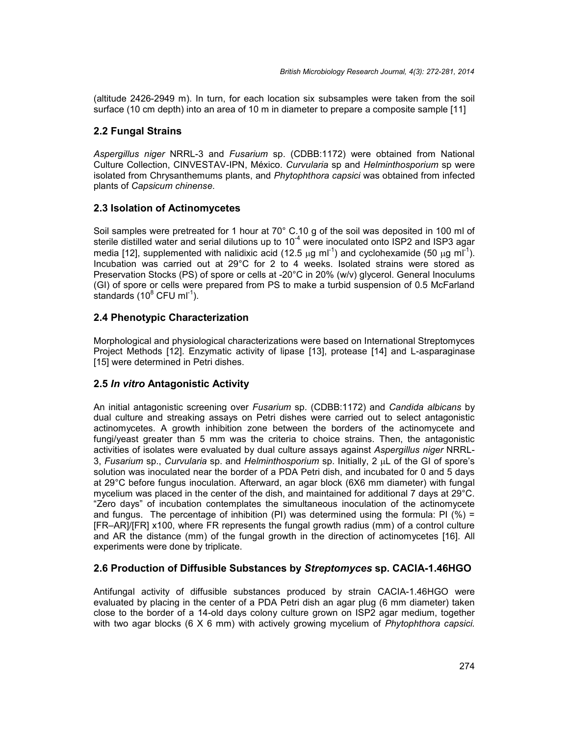(altitude 2426-2949 m). In turn, for each location six subsamples were taken from the soil surface (10 cm depth) into an area of 10 m in diameter to prepare a composite sample [11]

## **2.2 Fungal Strains**

*Aspergillus niger* NRRL-3 and *Fusarium* sp. (CDBB:1172) were obtained from National Culture Collection, CINVESTAV-IPN, México. *Curvularia* sp and *Helminthosporium* sp were isolated from Chrysanthemums plants, and *Phytophthora capsici* was obtained from infected plants of *Capsicum chinense*.

## **2.3 Isolation of Actinomycetes**

Soil samples were pretreated for 1 hour at 70° C.10 g of the soil was deposited in 100 ml of sterile distilled water and serial dilutions up to  $10<sup>-4</sup>$  were inoculated onto ISP2 and ISP3 agar media [12], supplemented with nalidixic acid (12.5  $\mu$ g ml<sup>-1</sup>) and cyclohexamide (50  $\mu$ g ml<sup>-1</sup>). Incubation was carried out at 29°C for 2 to 4 weeks. Isolated strains were stored as Preservation Stocks (PS) of spore or cells at -20°C in 20% (w/v) glycerol. General Inoculums (GI) of spore or cells were prepared from PS to make a turbid suspension of 0.5 McFarland standards (10 $^8$  CFU ml $^{-1}$ ).  $^{\sim}$ 

## **2.4 Phenotypic Characterization**

Morphological and physiological characterizations were based on International Streptomyces Project Methods [12]. Enzymatic activity of lipase [13], protease [14] and L-asparaginase [15] were determined in Petri dishes.

## **2.5** *In vitro* **Antagonistic Activity**

An initial antagonistic screening over *Fusarium* sp. (CDBB:1172) and *Candida albicans* by dual culture and streaking assays on Petri dishes were carried out to select antagonistic actinomycetes. A growth inhibition zone between the borders of the actinomycete and fungi/yeast greater than 5 mm was the criteria to choice strains. Then, the antagonistic activities of isolates were evaluated by dual culture assays against *Aspergillus niger* NRRL- 3, *Fusarium* sp., *Curvularia* sp. and *Helminthosporium* sp. Initially, 2 <sub>u</sub>L of the GI of spore's solution was inoculated near the border of a PDA Petri dish, and incubated for 0 and 5 days at 29°C before fungus inoculation. Afterward, an agar block (6X6 mm diameter) with fungal mycelium was placed in the center of the dish, and maintained for additional 7 days at 29°C. "Zero days" of incubation contemplates the simultaneous inoculation of the actinomycete and fungus. The percentage of inhibition (PI) was determined using the formula: PI (%) = [FR–AR]/[FR] x100, where FR represents the fungal growth radius (mm) of a control culture and AR the distance (mm) of the fungal growth in the direction of actinomycetes [16]. All experiments were done by triplicate.

#### **2.6 Production of Diffusible Substances by** *Streptomyces* **sp. CACIA-1.46HGO**

Antifungal activity of diffusible substances produced by strain CACIA-1.46HGO were evaluated by placing in the center of a PDA Petri dish an agar plug (6 mm diameter) taken close to the border of a 14-old days colony culture grown on ISP2 agar medium, together with two agar blocks (6 X 6 mm) with actively growing mycelium of *Phytophthora capsici.*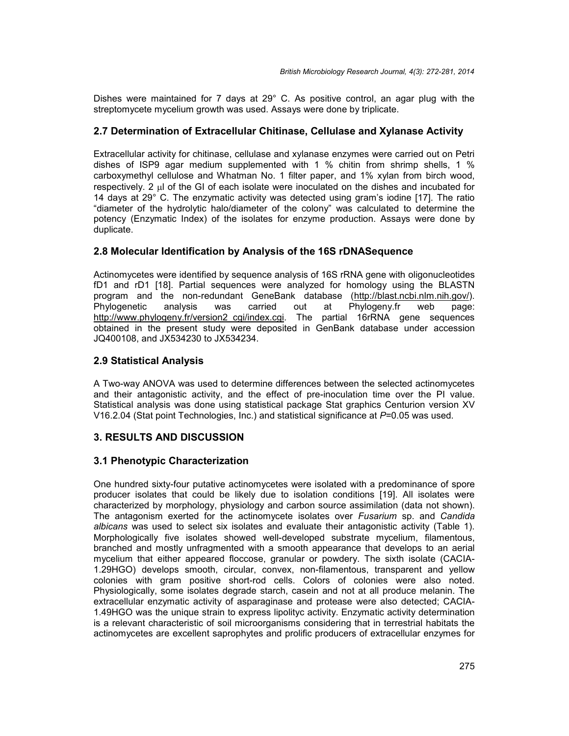Dishes were maintained for 7 days at 29° C. As positive control, an agar plug with the streptomycete mycelium growth was used. Assays were done by triplicate.

## **2.7 Determination of Extracellular Chitinase, Cellulase and Xylanase Activity**

Extracellular activity for chitinase, cellulase and xylanase enzymes were carried out on Petri dishes of ISP9 agar medium supplemented with 1 % chitin from shrimp shells, 1 % carboxymethyl cellulose and Whatman No. 1 filter paper, and 1% xylan from birch wood, respectively. 2 ul of the GI of each isolate were inoculated on the dishes and incubated for 14 days at 29° C. The enzymatic activity was detected using gram's iodine [17]. The ratio "diameter of the hydrolytic halo/diameter of the colony" was calculated to determine the potency (Enzymatic Index) of the isolates for enzyme production. Assays were done by duplicate.

## **2.8 Molecular Identification by Analysis of the 16S rDNASequence**

Actinomycetes were identified by sequence analysis of 16S rRNA gene with oligonucleotides fD1 and rD1 [18]. Partial sequences were analyzed for homology using the BLASTN program and the non-redundant GeneBank database (http://blast.ncbi.nlm.nih.gov/). Phylogenetic analysis was carried out at Phylogeny.fr web page: http://www.phylogeny.fr/version2\_cgi/index.cgi. The partial 16rRNA gene sequences obtained in the present study were deposited in GenBank database under accession JQ400108, and JX534230 to JX534234.

## **2.9 Statistical Analysis**

A Two-way ANOVA was used to determine differences between the selected actinomycetes and their antagonistic activity, and the effect of pre-inoculation time over the PI value. Statistical analysis was done using statistical package Stat graphics Centurion version XV V16.2.04 (Stat point Technologies, Inc.) and statistical significance at *P*=0.05 was used.

## **3. RESULTS AND DISCUSSION**

#### **3.1 Phenotypic Characterization**

One hundred sixty-four putative actinomycetes were isolated with a predominance of spore producer isolates that could be likely due to isolation conditions [19]. All isolates were characterized by morphology, physiology and carbon source assimilation (data not shown). The antagonism exerted for the actinomycete isolates over *Fusarium* sp. and *Candida albicans* was used to select six isolates and evaluate their antagonistic activity (Table 1). Morphologically five isolates showed well-developed substrate mycelium, filamentous, branched and mostly unfragmented with a smooth appearance that develops to an aerial mycelium that either appeared floccose, granular or powdery. The sixth isolate (CACIA- 1.29HGO) develops smooth, circular, convex, non-filamentous, transparent and yellow colonies with gram positive short-rod cells. Colors of colonies were also noted. Physiologically, some isolates degrade starch, casein and not at all produce melanin. The extracellular enzymatic activity of asparaginase and protease were also detected; CACIA- 1.49HGO was the unique strain to express lipolityc activity. Enzymatic activity determination is a relevant characteristic of soil microorganisms considering that in terrestrial habitats the actinomycetes are excellent saprophytes and prolific producers of extracellular enzymes for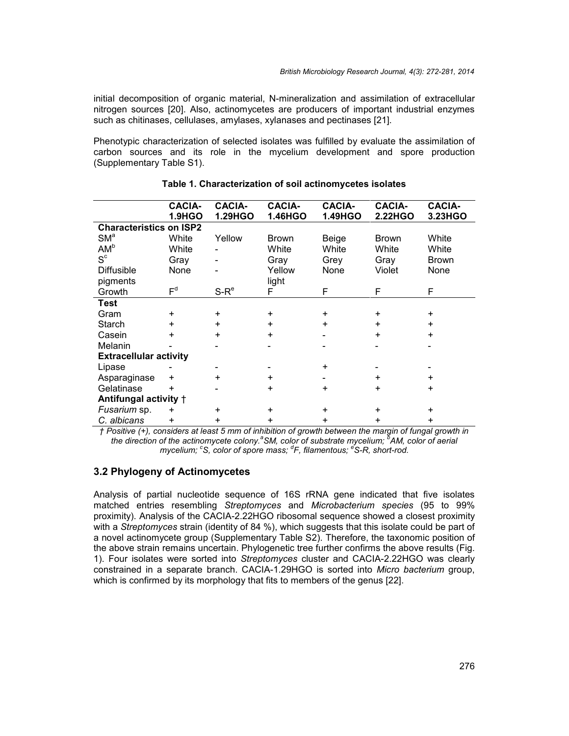initial decomposition of organic material, N-mineralization and assimilation of extracellular nitrogen sources [20]. Also, actinomycetes are producers of important industrial enzymes such as chitinases, cellulases, amylases, xylanases and pectinases [21].

Phenotypic characterization of selected isolates was fulfilled by evaluate the assimilation of carbon sources and its role in the mycelium development and spore production (Supplementary Table S1).

|                                | <b>CACIA-</b><br><b>1.9HGO</b> | <b>CACIA-</b><br>1.29HGO | <b>CACIA-</b><br>1.46HGO | <b>CACIA-</b><br>1.49HGO | <b>CACIA-</b><br>2.22HGO | <b>CACIA-</b><br>3.23HGO |
|--------------------------------|--------------------------------|--------------------------|--------------------------|--------------------------|--------------------------|--------------------------|
| <b>Characteristics on ISP2</b> |                                |                          |                          |                          |                          |                          |
| SM <sup>a</sup>                | White                          | Yellow                   | <b>Brown</b>             | Beige                    | Brown                    | White                    |
| AM <sup>b</sup>                | White                          |                          | White                    | White                    | White                    | White                    |
| $S^c$                          | Gray                           |                          | Gray                     | Grey                     | Gray                     | <b>Brown</b>             |
| <b>Diffusible</b>              | None                           |                          | Yellow                   | None                     | Violet                   | None                     |
| pigments                       |                                |                          | light                    |                          |                          |                          |
| Growth                         | F <sup>d</sup>                 | $S-Re$                   | F                        | F                        | F                        | F                        |
| Test                           |                                |                          |                          |                          |                          |                          |
| Gram                           | $\ddot{}$                      | $\ddot{}$                | +                        | $\ddot{}$                | $\ddot{}$                | +                        |
| Starch                         | $\ddot{}$                      | $\ddot{}$                | $+$                      | $+$                      | $+$                      | $\ddot{}$                |
| Casein                         | +                              | $\ddot{}$                | $\ddot{}$                |                          | $\ddot{}$                | $\ddot{}$                |
| Melanin                        |                                |                          |                          |                          |                          |                          |
| <b>Extracellular activity</b>  |                                |                          |                          |                          |                          |                          |
| Lipase                         |                                |                          |                          | $\ddot{}$                |                          |                          |
| Asparaginase                   | $\ddot{}$                      | $\ddot{}$                | $\ddot{}$                |                          | $\ddot{}$                | $\ddot{}$                |
| Gelatinase                     | $\ddot{}$                      |                          | $\ddot{}$                | $\ddot{}$                | $\ddot{}$                | +                        |
| Antifungal activity +          |                                |                          |                          |                          |                          |                          |
| Fusarium sp.                   | $\ddot{}$                      | $\ddot{}$                | $\ddot{}$                | $\pm$                    | $\ddot{}$                | $\ddot{}$                |
| C. albicans                    | +                              | $\ddot{}$                | +                        | $\ddot{}$                | $+$                      | +                        |

#### **Table 1. Characterization of soil actinomycetes isolates**

*† Positive (+), considers at least 5 mm of inhibition of growth between the margin of fungal growth in the direction of the actinomycete colony.<sup>a</sup>SM, color of substrate mycelium; <sup>b</sup>AM, color of aerial mycelium; <sup>c</sup>S, color of spore mass; <sup>d</sup>F, filamentous; <sup>e</sup>S-R, short-rod.*

#### **3.2 Phylogeny of Actinomycetes**

Analysis of partial nucleotide sequence of 16S rRNA gene indicated that five isolates matched entries resembling *Streptomyces* and *Microbacterium species* (95 to 99% proximity). Analysis of the CACIA-2.22HGO ribosomal sequence showed a closest proximity with a *Streptomyces* strain (identity of 84 %), which suggests that this isolate could be part of a novel actinomycete group (Supplementary Table S2). Therefore, the taxonomic position of the above strain remains uncertain. Phylogenetic tree further confirms the above results (Fig. 1). Four isolates were sorted into *Streptomyces* cluster and CACIA-2.22HGO was clearly constrained in a separate branch. CACIA-1.29HGO is sorted into *Micro bacterium* group, which is confirmed by its morphology that fits to members of the genus [22].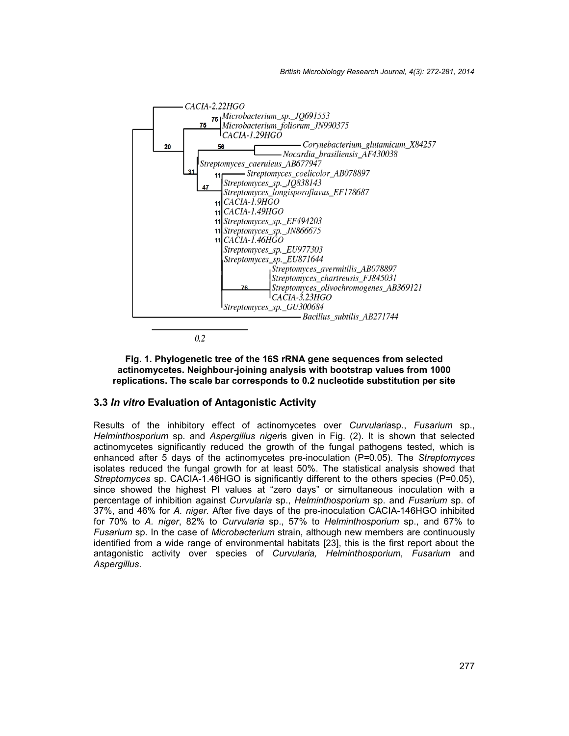

#### **Fig. 1. Phylogenetic tree of the 16S rRNA gene sequences from selected actinomycetes. Neighbour-joining analysis with bootstrap values from 1000 replications. The scale bar corresponds to 0.2 nucleotide substitution per site**

#### **3.3** *In vitro* **Evaluation of Antagonistic Activity**

Results of the inhibitory effect of actinomycetes over *Curvularia*sp., *Fusarium* sp., *Helminthosporium* sp. and *Aspergillus niger*is given in Fig. (2). It is shown that selected actinomycetes significantly reduced the growth of the fungal pathogens tested, which is enhanced after 5 days of the actinomycetes pre-inoculation (P=0.05). The *Streptomyces* isolates reduced the fungal growth for at least 50%. The statistical analysis showed that *Streptomyces* sp. CACIA-1.46HGO is significantly different to the others species (P=0.05), since showed the highest PI values at "zero days" or simultaneous inoculation with a percentage of inhibition against *Curvularia* sp.,*Helminthosporium* sp. and *Fusarium* sp. of 37%, and 46% for *A. niger.* After five days of the pre-inoculation CACIA-146HGO inhibited for 70% to *A. niger*, 82% to *Curvularia* sp., 57% to *Helminthosporium* sp., and 67% to *Fusarium* sp. In the case of *Microbacterium* strain, although new members are continuously identified from a wide range of environmental habitats [23], this is the first report about the antagonistic activity over species of *Curvularia, Helminthosporium, Fusarium* and *Aspergillus*.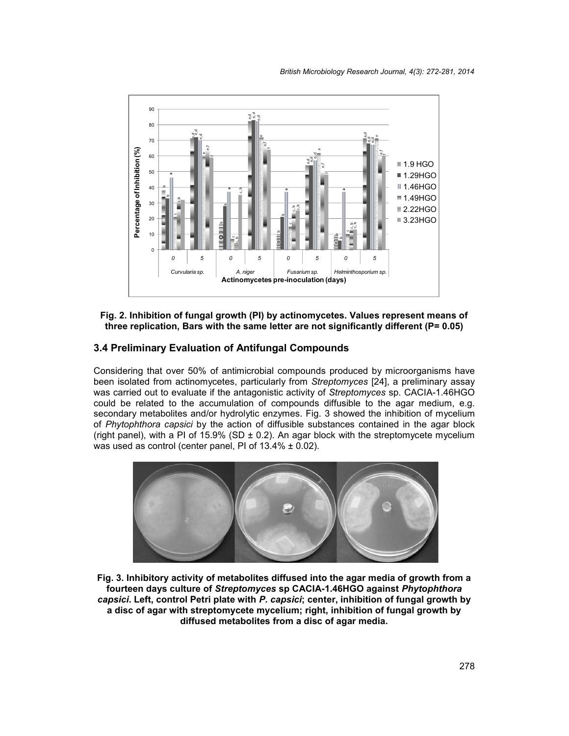

**Fig. 2. Inhibition of fungal growth (PI) by actinomycetes. Values represent means of three replication, Bars with the same letter are not significantly different (P= 0.05)**

# **3.4 Preliminary Evaluation of Antifungal Compounds**

Considering that over 50% of antimicrobial compounds produced by microorganisms have been isolated from actinomycetes, particularly from *Streptomyces* [24], a preliminary assay was carried out to evaluate if the antagonistic activity of *Streptomyces* sp. CACIA-1.46HGO could be related to the accumulation of compounds diffusible to the agar medium, e.g. secondary metabolites and/or hydrolytic enzymes. Fig. 3 showed the inhibition of mycelium of *Phytophthora capsici* by the action of diffusible substances contained in the agar block (right panel), with a PI of 15.9% (SD  $\pm$  0.2). An agar block with the streptomycete mycelium was used as control (center panel, PI of  $13.4\% \pm 0.02$ ).



**Fig. 3. Inhibitory activity of metabolites diffused into the agar media of growth from a fourteen days culture of** *Streptomyces* **sp CACIA-1.46HGO against** *Phytophthora capsici***. Left, control Petri plate with** *P. capsici***; center, inhibition of fungal growth by a disc of agar with streptomycete mycelium; right, inhibition of fungal growth by diffused metabolites from a disc of agar media.**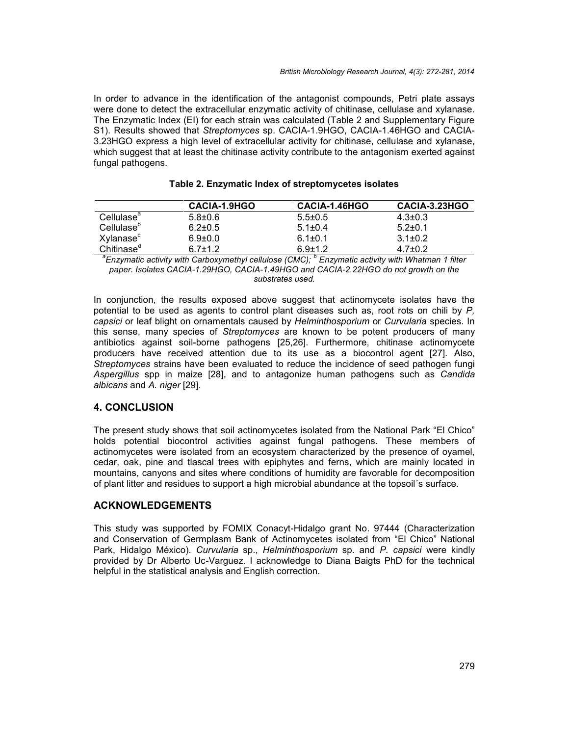In order to advance in the identification of the antagonist compounds, Petri plate assays were done to detect the extracellular enzymatic activity of chitinase, cellulase and xylanase. The Enzymatic Index (EI) for each strain was calculated (Table 2 and Supplementary Figure S1). Results showed that *Streptomyces* sp. CACIA-1.9HGO, CACIA-1.46HGO and CACIA- 3.23HGO express a high level of extracellular activity for chitinase, cellulase and xylanase, which suggest that at least the chitinase activity contribute to the antagonism exerted against fungal pathogens.

|                        | CACIA-1.9HGO  | CACIA-1.46HGO | CACIA-3.23HGO |
|------------------------|---------------|---------------|---------------|
| Cellulase <sup>a</sup> | $5.8 \pm 0.6$ | $5.5 \pm 0.5$ | $4.3 \pm 0.3$ |
| Cellulase <sup>p</sup> | $6.2 \pm 0.5$ | $5.1 \pm 0.4$ | $5.2 \pm 0.1$ |
| Xylanase <sup>c</sup>  | $6.9 \pm 0.0$ | $6.1 \pm 0.1$ | $3.1 \pm 0.2$ |
| Chitinase <sup>d</sup> | $6.7 \pm 1.2$ | $6.9 \pm 1.2$ | $4.7 \pm 0.2$ |

#### **Table 2. Enzymatic Index of streptomycetes isolates**

*<sup>a</sup>Enzymatic activity with Carboxymethyl cellulose (CMC); <sup>b</sup> Enzymatic activity with Whatman 1 filter paper. Isolates CACIA-1.29HGO, CACIA-1.49HGO and CACIA-2.22HGO do not growth on the substrates used.*

In conjunction, the results exposed above suggest that actinomycete isolates have the potential to be used as agents to control plant diseases such as, root rots on chili by *P, capsici* or leaf blight on ornamentals caused by *Helminthosporium* or *Curvularia* species. In this sense, many species of *Streptomyces* are known to be potent producers of many antibiotics against soil-borne pathogens [25,26]. Furthermore, chitinase actinomycete producers have received attention due to its use as a biocontrol agent [27]. Also, *Streptomyces* strains have been evaluated to reduce the incidence of seed pathogen fungi *Aspergillus* spp in maize [28], and to antagonize human pathogens such as *Candida albicans* and *A. niger* [29].

#### **4. CONCLUSION**

The present study shows that soil actinomycetes isolated from the National Park "El Chico" holds potential biocontrol activities against fungal pathogens. These members of actinomycetes were isolated from an ecosystem characterized by the presence of oyamel, cedar, oak, pine and tlascal trees with epiphytes and ferns, which are mainly located in mountains, canyons and sites where conditions of humidity are favorable for decomposition of plant litter and residues to support a high microbial abundance at the topsoil´s surface.

## **ACKNOWLEDGEMENTS**

This study was supported by FOMIX Conacyt-Hidalgo grant No. 97444 (Characterization and Conservation of Germplasm Bank of Actinomycetes isolated from "El Chico" National Park, Hidalgo México). *Curvularia* sp., *Helminthosporium* sp. and *P. capsici* were kindly provided by Dr Alberto Uc-Varguez. I acknowledge to Diana Baigts PhD for the technical helpful in the statistical analysis and English correction.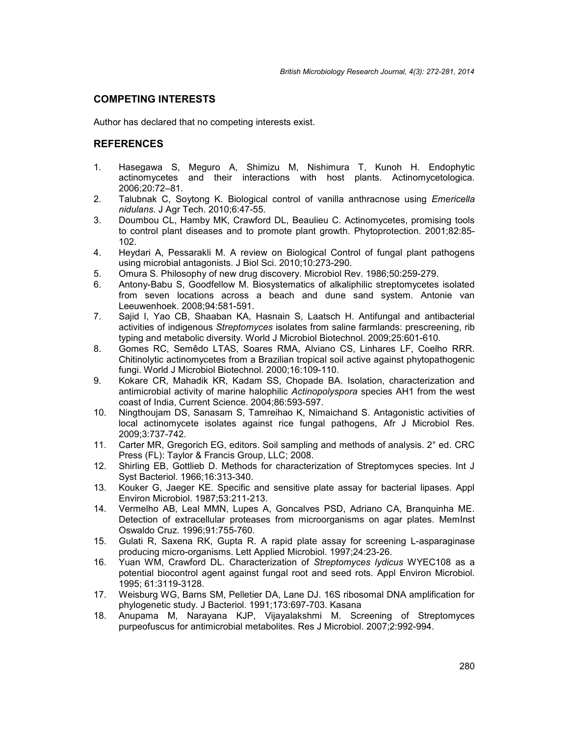## **COMPETING INTERESTS**

Author has declared that no competing interests exist.

## **REFERENCES**

- 1. Hasegawa S, Meguro A, Shimizu M, Nishimura T, Kunoh H. Endophytic actinomycetes and their interactions with host plants. Actinomycetologica. 2006;20:72–81.
- 2. Talubnak C, Soytong K. Biological control of vanilla anthracnose using *Emericella nidulans*. J Agr Tech. 2010;6:47-55.
- 3. Doumbou CL, Hamby MK, Crawford DL, Beaulieu C. Actinomycetes, promising tools to control plant diseases and to promote plant growth. Phytoprotection. 2001;82:85- 102.
- 4. Heydari A, Pessarakli M. A review on Biological Control of fungal plant pathogens using microbial antagonists. J Biol Sci. 2010;10:273-290.
- 5. Omura S. Philosophy of new drug discovery. Microbiol Rev. 1986;50:259-279.
- 6. Antony-Babu S, Goodfellow M. Biosystematics of alkaliphilic streptomycetes isolated from seven locations across a beach and dune sand system. Antonie van Leeuwenhoek. 2008;94:581-591.
- 7. Sajid I, Yao CB, Shaaban KA, Hasnain S, Laatsch H. Antifungal and antibacterial activities of indigenous *Streptomyces* isolates from saline farmlands: prescreening, rib typing and metabolic diversity. World J Microbiol Biotechnol. 2009;25:601-610.
- 8. Gomes RC, Semêdo LTAS, Soares RMA, Alviano CS, Linhares LF, Coelho RRR. Chitinolytic actinomycetes from a Brazilian tropical soil active against phytopathogenic fungi. World J Microbiol Biotechnol. 2000;16:109-110.
- 9. Kokare CR, Mahadik KR, Kadam SS, Chopade BA. Isolation, characterization and antimicrobial activity of marine halophilic *Actinopolyspora* species AH1 from the west coast of India, Current Science. 2004;86:593-597.
- 10. Ningthoujam DS, Sanasam S, Tamreihao K, Nimaichand S. Antagonistic activities of local actinomycete isolates against rice fungal pathogens, Afr J Microbiol Res. 2009;3:737-742.
- 11. Carter MR, Gregorich EG, editors. Soil sampling and methods of analysis. 2° ed. CRC Press (FL): Taylor & Francis Group, LLC; 2008.
- 12. Shirling EB, Gottlieb D. Methods for characterization of Streptomyces species. Int J Syst Bacteriol. 1966;16:313-340.
- 13. Kouker G, Jaeger KE. Specific and sensitive plate assay for bacterial lipases. Appl Environ Microbiol. 1987;53:211-213.
- 14. Vermelho AB, Leal MMN, Lupes A, Goncalves PSD, Adriano CA, Branquinha ME. Detection of extracellular proteases from microorganisms on agar plates. MemInst Oswaldo Cruz. 1996;91:755-760.
- 15. Gulati R, Saxena RK, Gupta R. A rapid plate assay for screening L-asparaginase producing micro-organisms. Lett Applied Microbiol. 1997;24:23-26.
- 16. Yuan WM, Crawford DL. Characterization of *Streptomyces lydicus* WYEC108 as a potential biocontrol agent against fungal root and seed rots. Appl Environ Microbiol. 1995; 61:3119-3128.
- 17. Weisburg WG, Barns SM, Pelletier DA, Lane DJ. 16S ribosomal DNA amplification for phylogenetic study. J Bacteriol. 1991;173:697-703. Kasana
- 18. Anupama M, Narayana KJP, Vijayalakshmi M. Screening of Streptomyces purpeofuscus for antimicrobial metabolites. Res J Microbiol. 2007;2:992-994.